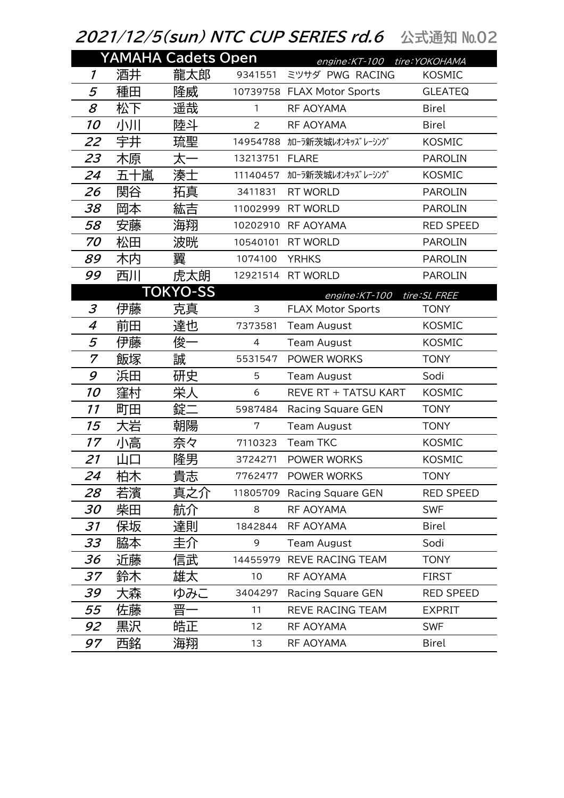## 2021/12/5(sun) NTC CUP SERIES rd.6 公式通知 №02

|                     |     | <b>YAMAHA Cadets Open</b> |                | engine: KT-100 tire: YOKOHAMA |                  |
|---------------------|-----|---------------------------|----------------|-------------------------------|------------------|
| $\boldsymbol{\eta}$ | 酒井  | 龍太郎                       | 9341551        | ミツサダ PWG RACING               | <b>KOSMIC</b>    |
| 5                   | 種田  | 隆威                        |                | 10739758 FLAX Motor Sports    | <b>GLEATEQ</b>   |
| 8                   | 松下  | 遥哉                        | $\mathbf{1}$   | RF AOYAMA                     | <b>Birel</b>     |
| 10                  | 小川  | 陸斗                        | $\overline{2}$ | RF AOYAMA                     | <b>Birel</b>     |
| 22                  | 宇井  | 琉聖                        | 14954788       | カローラ新茨城レオンキッズレーシング            | <b>KOSMIC</b>    |
| 23                  | 木原  | 太·                        | 13213751       | <b>FLARE</b>                  | <b>PAROLIN</b>   |
| 24                  | 五十嵐 | 湊士                        | 11140457       | カローラ新茨城レオンキッズレーシング            | <b>KOSMIC</b>    |
| 26                  | 関谷  | 拓真                        | 3411831        | <b>RT WORLD</b>               | <b>PAROLIN</b>   |
| 38                  | 岡本  | 紘吉                        | 11002999       | <b>RT WORLD</b>               | <b>PAROLIN</b>   |
| 58                  | 安藤  | 海翔                        | 10202910       | RF AOYAMA                     | <b>RED SPEED</b> |
| 70                  | 松田  | 波晄                        | 10540101       | <b>RT WORLD</b>               | <b>PAROLIN</b>   |
| 89                  | 木内  | 翼                         | 1074100        | <b>YRHKS</b>                  | <b>PAROLIN</b>   |
| 99                  | 西川  | 虎太朗                       | 12921514       | <b>RT WORLD</b>               | <b>PAROLIN</b>   |
|                     |     | <b>TOKYO-SS</b>           |                | engine: KT-100                | tire: SL FREE    |
| 3                   | 伊藤  | 克真                        | 3              | <b>FLAX Motor Sports</b>      | <b>TONY</b>      |
| 4                   | 前田  | 達也                        | 7373581        | <b>Team August</b>            | <b>KOSMIC</b>    |
| 5                   | 伊藤  | 俊一                        | 4              | <b>Team August</b>            | <b>KOSMIC</b>    |
| 7                   | 飯塚  | 誠                         | 5531547        | POWER WORKS                   | <b>TONY</b>      |
| 9                   | 浜田  | 研史                        | 5              | <b>Team August</b>            | Sodi             |
| 10                  | 窪村  | 栄人                        | 6              | REVE RT + TATSU KART          | <b>KOSMIC</b>    |
| 11                  | 町田  | 錠二                        | 5987484        | <b>Racing Square GEN</b>      | <b>TONY</b>      |
| 15                  | 大岩  | 朝陽                        | 7              | <b>Team August</b>            | <b>TONY</b>      |
| 17                  | 小高  | 奈々                        | 7110323        | <b>Team TKC</b>               | <b>KOSMIC</b>    |
| 21                  |     | 隆男                        | 3724271        | POWER WORKS                   | <b>KOSMIC</b>    |
| 24                  | 柏木  | 貴志                        |                | 7762477 POWER WORKS           | <b>TONY</b>      |
| 28                  | 若濱  | 真之介                       |                | 11805709 Racing Square GEN    | <b>RED SPEED</b> |
| 30                  | 柴田  | 航介                        | 8              | RF AOYAMA                     | <b>SWF</b>       |
| 31                  | 保坂  | 達則                        | 1842844        | RF AOYAMA                     | <b>Birel</b>     |
| 33                  | 脇本  | 圭介                        | 9              | <b>Team August</b>            | Sodi             |
| 36                  | 近藤  | 信武                        | 14455979       | REVE RACING TEAM              | <b>TONY</b>      |
| 37                  | 鈴木  | 雄太                        | 10             | RF AOYAMA                     | <b>FIRST</b>     |
| 39                  | 大森  | ゆみこ                       | 3404297        | <b>Racing Square GEN</b>      | <b>RED SPEED</b> |
| 55                  | 佐藤  | 晋-                        | 11             | REVE RACING TEAM              | <b>EXPRIT</b>    |
| 92                  | 黒沢  | 皓正                        | 12             | RF AOYAMA                     | <b>SWF</b>       |
| 97                  | 西銘  | 海翔                        | 13             | RF AOYAMA                     | <b>Birel</b>     |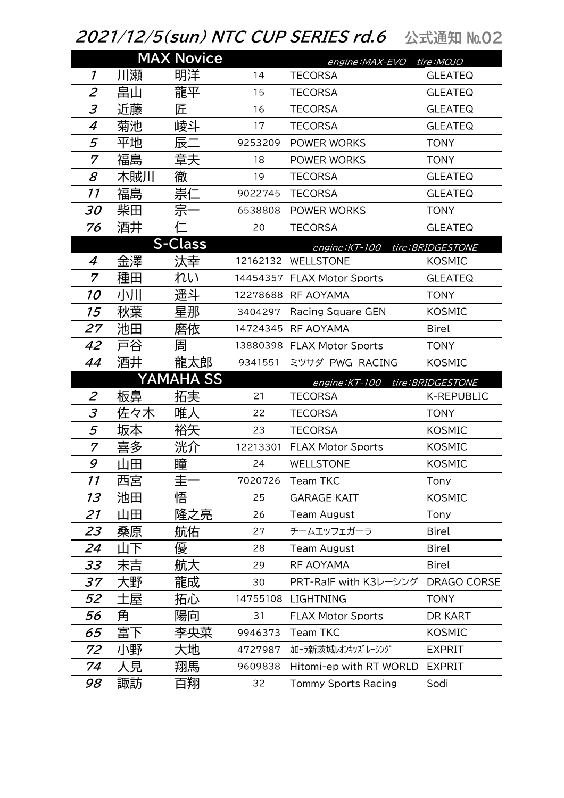## *2021/12/5(sun) NTC CUP SERIES rd.6* 公式通知 №02

|                             |     | <b>MAX Novice</b> |          | engine: MAX-EVO tire: MOJO |                    |
|-----------------------------|-----|-------------------|----------|----------------------------|--------------------|
| 1                           | 川瀬  | 明洋                | 14       | <b>TECORSA</b>             | <b>GLEATEQ</b>     |
| $\overline{2}$              | 畠山  | 龍平                | 15       | <b>TECORSA</b>             | <b>GLEATEQ</b>     |
| 3                           | 近藤  | 匠                 | 16       | <b>TECORSA</b>             | <b>GLEATEQ</b>     |
| 4                           | 菊池  | 崚斗                | 17       | <b>TECORSA</b>             | <b>GLEATEQ</b>     |
| 5                           | 平地  | 辰二                | 9253209  | POWER WORKS                | <b>TONY</b>        |
| 7                           | 福島  | 章夫                | 18       | <b>POWER WORKS</b>         | <b>TONY</b>        |
| 8                           | 木賊川 | 徹                 | 19       | <b>TECORSA</b>             | <b>GLEATEQ</b>     |
| 11                          | 福島  | 崇仁                | 9022745  | <b>TECORSA</b>             | <b>GLEATEQ</b>     |
| 30                          | 柴田  | 宗                 | 6538808  | POWER WORKS                | <b>TONY</b>        |
| 76                          | 酒井  |                   | 20       | <b>TECORSA</b>             | <b>GLEATEQ</b>     |
|                             |     | <b>S-Class</b>    |          | engine: KT-100             | tire: BRIDGESTONE  |
| 4                           | 金澤  | 汰幸                | 12162132 | WELLSTONE                  | <b>KOSMIC</b>      |
| 7                           | 種田  | れい                | 14454357 | <b>FLAX Motor Sports</b>   | <b>GLEATEQ</b>     |
| 10                          | 小川  | 遥斗                |          | 12278688 RF AOYAMA         | <b>TONY</b>        |
| 15                          | 秋葉  | 星那                | 3404297  | <b>Racing Square GEN</b>   | <b>KOSMIC</b>      |
| 27                          | 池田  | 磨依                | 14724345 | RF AOYAMA                  | <b>Birel</b>       |
| 42                          | 戸谷  | 周                 |          | 13880398 FLAX Motor Sports | <b>TONY</b>        |
| 44                          | 酒井  | 龍太郎               | 9341551  | ミツサダ PWG RACING            | <b>KOSMIC</b>      |
|                             |     | <b>YAMAHA SS</b>  |          | engine:KT-100              | tire: BRIDGESTONE  |
| $\mathcal{Z}_{\mathcal{C}}$ | 板鼻  | 拓実                | 21       | <b>TECORSA</b>             | <b>K-REPUBLIC</b>  |
| $\mathfrak{Z}$              | 佐々木 | 唯人                | 22       | <b>TECORSA</b>             | <b>TONY</b>        |
| 5                           | 坂本  | 裕矢                | 23       | <b>TECORSA</b>             | <b>KOSMIC</b>      |
| 7                           | 喜多  | 洸介                | 12213301 | <b>FLAX Motor Sports</b>   | <b>KOSMIC</b>      |
| 9                           | 山田  | 瞳                 | 24       | <b>WELLSTONE</b>           | <b>KOSMIC</b>      |
| 11                          | 西宮  | 圭                 | 7020726  | <b>Team TKC</b>            | Tony               |
| 13                          | 池田  | 悟                 | 25       | <b>GARAGE KAIT</b>         | <b>KOSMIC</b>      |
| 21                          | 山田  | 隆之亮               | 26       | <b>Team August</b>         | Tony               |
| 23                          | 桑原  | 航佑                | 27       | チームエッフェガーラ                 | <b>Birel</b>       |
| 24                          | 山下  | 優                 | 28       | <b>Team August</b>         | <b>Birel</b>       |
| 33                          | 末吉  | 航大                | 29       | RF AOYAMA                  | <b>Birel</b>       |
| 37                          | 大野  | 龍成                | 30       | PRT-Ra!F with K3レーシング      | <b>DRAGO CORSE</b> |
| 52                          | 土屋  | 拓心                | 14755108 | <b>LIGHTNING</b>           | <b>TONY</b>        |
| 56                          | 角   | 陽向                | 31       | <b>FLAX Motor Sports</b>   | DR KART            |
| 65                          | 富下  | 李央菜               | 9946373  | <b>Team TKC</b>            | <b>KOSMIC</b>      |
| 72                          | 小野  | 大地                | 4727987  | カローラ新茨城レオンキッズレーシング         | <b>EXPRIT</b>      |
| 74                          | 人見  | 翔馬                | 9609838  | Hitomi-ep with RT WORLD    | <b>EXPRIT</b>      |
| 98                          | 諏訪  | 百翔                | 32       | <b>Tommy Sports Racing</b> | Sodi               |